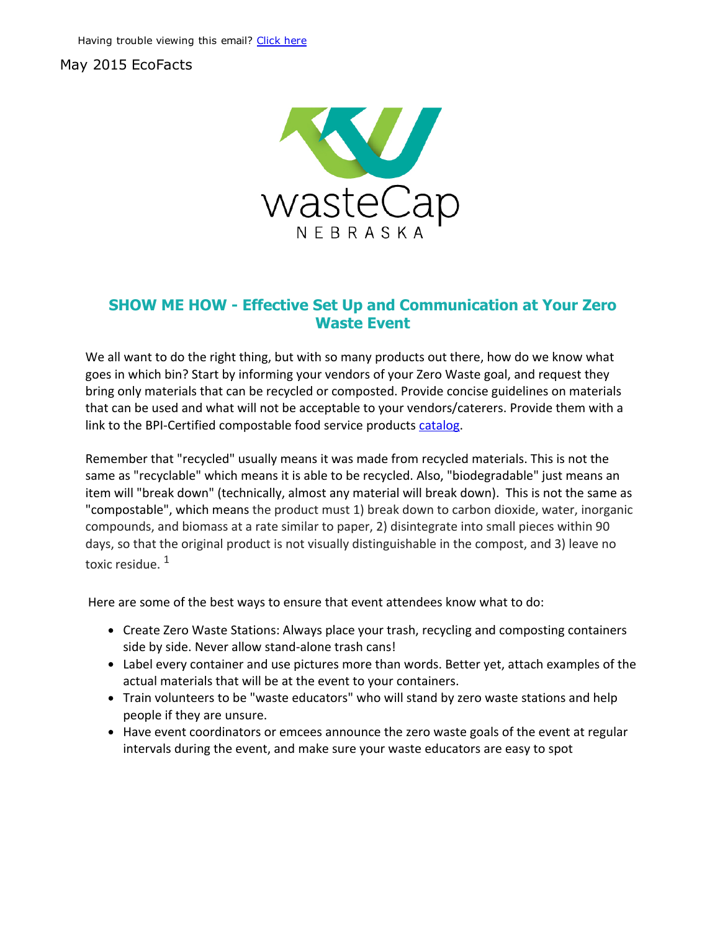## May 2015 EcoFacts



## SHOW ME HOW Effective Set Up and Communication at Your Zero Waste Event

We all want to do the right thing, but with so many products out there, how do we know what goes in which bin? Start by informing your vendors of your Zero Waste goal, and request they bring only materials that can be recycled or composted. Provide concise guidelines on materials that can be used and what will not be acceptable to your vendors/caterers. Provide them with a link to the BPI-Certified compostable food service products [catalog](http://products.bpiworld.org/companies/category/foodservice).

Remember that "recycled" usually means it was made from recycled materials. This is not the same as "recyclable" which means it is able to be recycled. Also, "biodegradable" just means an item will "break down" (technically, almost any material will break down). This is not the same as "compostable", which means the product must 1) break down to carbon dioxide, water, inorganic compounds, and biomass at a rate similar to paper, 2) disintegrate into small pieces within 90 days, so that the original product is not visually distinguishable in the compost, and 3) leave no toxic residue. 1

Here are some of the best ways to ensure that event attendees know what to do:

- Create Zero Waste Stations: Always place your trash, recycling and composting containers side by side. Never allow stand‐alone trash cans!
- Label every container and use pictures more than words. Better yet, attach examples of the actual materials that will be at the event to your containers.
- Train volunteers to be "waste educators" who will stand by zero waste stations and help people if they are unsure.
- Have event coordinators or emcees announce the zero waste goals of the event at regular intervals during the event, and make sure your waste educators are easy to spot